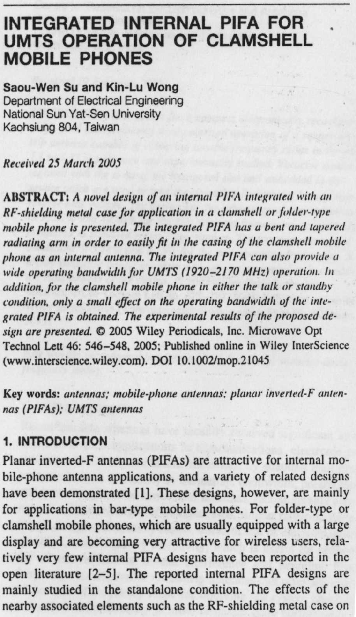## **INTEGRATED INTERNAL PIFA FOR UMTS OPERATION OF CLAMSHELL MOBILE PHONES**

**Saou**-**Wen Su and Kin**-**Lu Wong** Department of Electrical Engineering National Sun Yat-Sen University Kaohsiung 804, Taiwan

**Received 25** March 2005

ABSTRACT: A *novel* design *of* at *internal PIFA integrated with an RF-shielding metal* **case** *for application in a clamshell or fielder-tvpe mobile phone is presented. The integrated PIFA has a bent and tapered radiating arm in order to easily fit in the* casing *of the clamshell mobile phone as an internal* **antenna**. *The integrated PlEA can also provide a wide* operating *bandwidth fir UM7S (1920-2170 MHz) operation. In addition, for the clamshell mobile phone* in *either the talk or standby* condition, *only a small effect on the operating bandwidth of the integrated PIFA is obtained. The experimental results of the proposed de*sign are presented.  $\oslash$  2005 Wiley Periodicals, Inc. Microwave Opt **Technol Lett 46: 546-548, 2005; Published online in Wiley InterScience (www.interscience**.**wiley.com**). **DOI 10**. **1002/mop.21045**

**Key words**: antennas; mobile-phone antennas: planar inverted-F antennas (PIFAs); UMTS antennas

## **1. INTRODUCTION**

Planar inverted-F antennas (PIFAs) are attractive for internal mobile-phone **antenna** applications, and a variety of related designs **have been demonstrated** [ **1]. These designs**, **however**, **are mainly** for applications in bar-type mobile phones. For folder-type or clamshell mobile phones, which are usually equipped with a large display and are becoming very attractive for wireless users, relatively very few internal PIFA designs have been reported in the open literature [2-5]. The reported internal PIFA designs are mainly studied in the standalone condition. The effects of the nearby associated elements such as the RF-shielding metal case on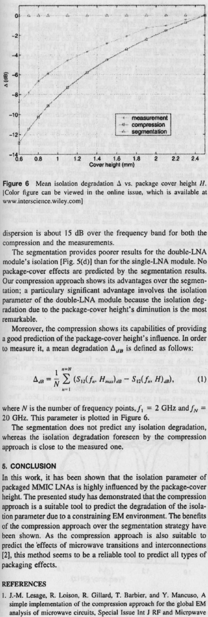

Figure 6 Mean isolation degradation  $\Delta$  vs. package cover height H. lColor figure can be viewed in the online issue, which is available at www. interscience.wi ley.com]

dispersion is about 15 dB over the frequency band for both the compression and the measurements.

The segmentation provides poorer results for the double-LNA module's isolation [Fig. 5(d)] than for **the single-I**.NA module. No package-cover effects are predicted by the **segmentation results.** Our compression approach shows its advantages over **the segmen**tation; a particulary **significant** advantage involves the isolation parameter of the double-LNA module because the **isolation degradation due to the package**-cover height's diminution is the most remarkable.

Moreover, the compression shows its capabilities of providing a good prediction **of the package**-cover height'**s influence. In order** to measure it, a mean degradation  $\Delta_{\mu}$  is defined as follows:

$$
\Delta_{dB} = \frac{1}{N} \sum_{m=1}^{n=N} (S_{12}(f_n, H_{max})_{dB} - S_{12}(f_n, H)_{dB}), \tag{1}
$$

where N is the number of frequency points,  $f_1 = 2$  GHz and  $f_N =$ 2() GHz. This **parameter is plotted in Figure 6.**

**The segmentation does not predict any isolation degradation, whereas the isolation degradation foreseen by the compression** approach **is close to the measured one.**

## **5. CONCLUSION**

In this work, it has **been** shown that the **isolation** parameter of packaged MMIC LNAs is highly influenced by the package-cover height. The presented study has demonstrated that the compression approach **is a suitable** tool to predict the degradation of the isola**tion parameter due to a constraining** EM environment. The benefits of the compression approach over the **segmentation** strategy have been shown. As the compression approach is also suitable to predict the effects of microwave transitions and interconnections [2], this method seems to be a reliable tool to predict all types of packaging effects.

## **REFERENCES**

**1. J: M. Lesage**, **R. Loison**, **R. Gillard**, **T. Barbier, and Y**. **Mancuso, A simple implementation of the compression approach for the global EM analysis of microwave circuits. Special Issue Int J RF and Microwave**